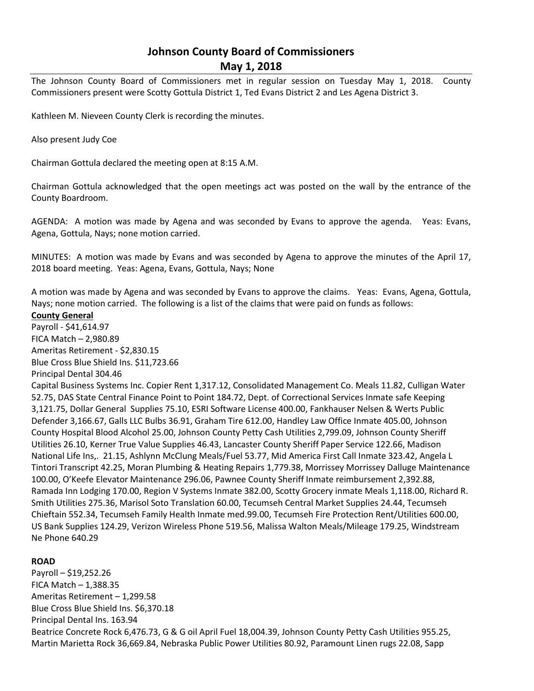# **Johnson County Board of Commissioners May 1, 2018**

The Johnson County Board of Commissioners met in regular session on Tuesday May 1, 2018. County Commissioners present were Scotty Gottula District 1, Ted Evans District 2 and Les Agena District 3.

Kathleen M. Nieveen County Clerk is recording the minutes.

Also present Judy Coe

Chairman Gottula declared the meeting open at 8:15 A.M.

Chairman Gottula acknowledged that the open meetings act was posted on the wall by the entrance of the County Boardroom.

AGENDA: A motion was made by Agena and was seconded by Evans to approve the agenda. Yeas: Evans, Agena, Gottula, Nays; none motion carried.

MINUTES: A motion was made by Evans and was seconded by Agena to approve the minutes of the April 17, 2018 board meeting. Yeas: Agena, Evans, Gottula, Nays; None

A motion was made by Agena and was seconded by Evans to approve the claims. Yeas: Evans, Agena, Gottula, Nays; none motion carried. The following is a list of the claims that were paid on funds as follows:

# **County General**

Payroll - \$41,614.97 FICA Match – 2,980.89 Ameritas Retirement - \$2,830.15 Blue Cross Blue Shield Ins. \$11,723.66 Principal Dental 304.46

Capital Business Systems Inc. Copier Rent 1,317.12, Consolidated Management Co. Meals 11.82, Culligan Water 52.75, DAS State Central Finance Point to Point 184.72, Dept. of Correctional Services Inmate safe Keeping 3,121.75, Dollar General Supplies 75.10, ESRI Software License 400.00, Fankhauser Nelsen & Werts Public Defender 3,166.67, Galls LLC Bulbs 36.91, Graham Tire 612.00, Handley Law Office Inmate 405.00, Johnson County Hospital Blood Alcohol 25.00, Johnson County Petty Cash Utilities 2,799.09, Johnson County Sheriff Utilities 26.10, Kerner True Value Supplies 46.43, Lancaster County Sheriff Paper Service 122.66, Madison National Life Ins,. 21.15, Ashlynn McClung Meals/Fuel 53.77, Mid America First Call Inmate 323.42, Angela L Tintori Transcript 42.25, Moran Plumbing & Heating Repairs 1,779.38, Morrissey Morrissey Dalluge Maintenance 100.00, O'Keefe Elevator Maintenance 296.06, Pawnee County Sheriff Inmate reimbursement 2,392.88, Ramada Inn Lodging 170.00, Region V Systems Inmate 382.00, Scotty Grocery inmate Meals 1,118.00, Richard R. Smith Utilities 275.36, Marisol Soto Translation 60.00, Tecumseh Central Market Supplies 24.44, Tecumseh Chieftain 552.34, Tecumseh Family Health Inmate med.99.00, Tecumseh Fire Protection Rent/Utilities 600.00, US Bank Supplies 124.29, Verizon Wireless Phone 519.56, Malissa Walton Meals/Mileage 179.25, Windstream Ne Phone 640.29

# **ROAD**

Payroll – \$19,252.26 FICA Match  $-1,388.35$ Ameritas Retirement – 1,299.58 Blue Cross Blue Shield Ins. \$6,370.18 Principal Dental Ins. 163.94 Beatrice Concrete Rock 6,476.73, G & G oil April Fuel 18,004.39, Johnson County Petty Cash Utilities 955.25, Martin Marietta Rock 36,669.84, Nebraska Public Power Utilities 80.92, Paramount Linen rugs 22.08, Sapp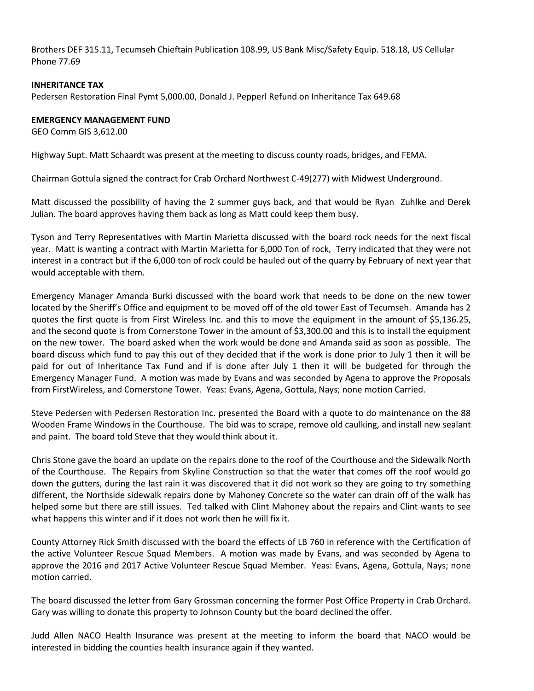Brothers DEF 315.11, Tecumseh Chieftain Publication 108.99, US Bank Misc/Safety Equip. 518.18, US Cellular Phone 77.69

### **INHERITANCE TAX**

Pedersen Restoration Final Pymt 5,000.00, Donald J. Pepperl Refund on Inheritance Tax 649.68

### **EMERGENCY MANAGEMENT FUND**

GEO Comm GIS 3,612.00

Highway Supt. Matt Schaardt was present at the meeting to discuss county roads, bridges, and FEMA.

Chairman Gottula signed the contract for Crab Orchard Northwest C-49(277) with Midwest Underground.

Matt discussed the possibility of having the 2 summer guys back, and that would be Ryan Zuhlke and Derek Julian. The board approves having them back as long as Matt could keep them busy.

Tyson and Terry Representatives with Martin Marietta discussed with the board rock needs for the next fiscal year. Matt is wanting a contract with Martin Marietta for 6,000 Ton of rock, Terry indicated that they were not interest in a contract but if the 6,000 ton of rock could be hauled out of the quarry by February of next year that would acceptable with them.

Emergency Manager Amanda Burki discussed with the board work that needs to be done on the new tower located by the Sheriff's Office and equipment to be moved off of the old tower East of Tecumseh. Amanda has 2 quotes the first quote is from First Wireless Inc. and this to move the equipment in the amount of \$5,136.25, and the second quote is from Cornerstone Tower in the amount of \$3,300.00 and this is to install the equipment on the new tower. The board asked when the work would be done and Amanda said as soon as possible. The board discuss which fund to pay this out of they decided that if the work is done prior to July 1 then it will be paid for out of Inheritance Tax Fund and if is done after July 1 then it will be budgeted for through the Emergency Manager Fund. A motion was made by Evans and was seconded by Agena to approve the Proposals from FirstWireless, and Cornerstone Tower. Yeas: Evans, Agena, Gottula, Nays; none motion Carried.

Steve Pedersen with Pedersen Restoration Inc. presented the Board with a quote to do maintenance on the 88 Wooden Frame Windows in the Courthouse. The bid was to scrape, remove old caulking, and install new sealant and paint. The board told Steve that they would think about it.

Chris Stone gave the board an update on the repairs done to the roof of the Courthouse and the Sidewalk North of the Courthouse. The Repairs from Skyline Construction so that the water that comes off the roof would go down the gutters, during the last rain it was discovered that it did not work so they are going to try something different, the Northside sidewalk repairs done by Mahoney Concrete so the water can drain off of the walk has helped some but there are still issues. Ted talked with Clint Mahoney about the repairs and Clint wants to see what happens this winter and if it does not work then he will fix it.

County Attorney Rick Smith discussed with the board the effects of LB 760 in reference with the Certification of the active Volunteer Rescue Squad Members. A motion was made by Evans, and was seconded by Agena to approve the 2016 and 2017 Active Volunteer Rescue Squad Member. Yeas: Evans, Agena, Gottula, Nays; none motion carried.

The board discussed the letter from Gary Grossman concerning the former Post Office Property in Crab Orchard. Gary was willing to donate this property to Johnson County but the board declined the offer.

Judd Allen NACO Health Insurance was present at the meeting to inform the board that NACO would be interested in bidding the counties health insurance again if they wanted.